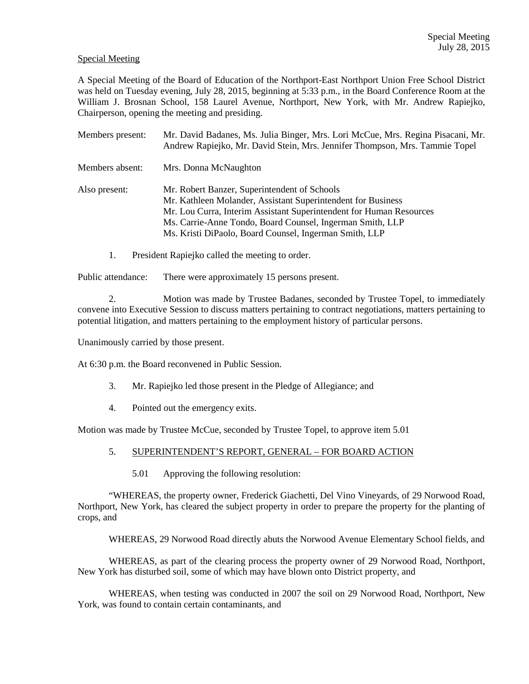## Special Meeting

A Special Meeting of the Board of Education of the Northport-East Northport Union Free School District was held on Tuesday evening, July 28, 2015, beginning at 5:33 p.m., in the Board Conference Room at the William J. Brosnan School, 158 Laurel Avenue, Northport, New York, with Mr. Andrew Rapiejko, Chairperson, opening the meeting and presiding.

| Members present: | Mr. David Badanes, Ms. Julia Binger, Mrs. Lori McCue, Mrs. Regina Pisacani, Mr.<br>Andrew Rapiejko, Mr. David Stein, Mrs. Jennifer Thompson, Mrs. Tammie Topel                                                                                                                                             |
|------------------|------------------------------------------------------------------------------------------------------------------------------------------------------------------------------------------------------------------------------------------------------------------------------------------------------------|
| Members absent:  | Mrs. Donna McNaughton                                                                                                                                                                                                                                                                                      |
| Also present:    | Mr. Robert Banzer, Superintendent of Schools<br>Mr. Kathleen Molander, Assistant Superintendent for Business<br>Mr. Lou Curra, Interim Assistant Superintendent for Human Resources<br>Ms. Carrie-Anne Tondo, Board Counsel, Ingerman Smith, LLP<br>Ms. Kristi DiPaolo, Board Counsel, Ingerman Smith, LLP |

1. President Rapiejko called the meeting to order.

Public attendance: There were approximately 15 persons present.

2. Motion was made by Trustee Badanes, seconded by Trustee Topel, to immediately convene into Executive Session to discuss matters pertaining to contract negotiations, matters pertaining to potential litigation, and matters pertaining to the employment history of particular persons.

Unanimously carried by those present.

At 6:30 p.m. the Board reconvened in Public Session.

- 3. Mr. Rapiejko led those present in the Pledge of Allegiance; and
- 4. Pointed out the emergency exits.

Motion was made by Trustee McCue, seconded by Trustee Topel, to approve item 5.01

- 5. SUPERINTENDENT'S REPORT, GENERAL FOR BOARD ACTION
	- 5.01 Approving the following resolution:

 "WHEREAS, the property owner, Frederick Giachetti, Del Vino Vineyards, of 29 Norwood Road, Northport, New York, has cleared the subject property in order to prepare the property for the planting of crops, and

WHEREAS, 29 Norwood Road directly abuts the Norwood Avenue Elementary School fields, and

 WHEREAS, as part of the clearing process the property owner of 29 Norwood Road, Northport, New York has disturbed soil, some of which may have blown onto District property, and

 WHEREAS, when testing was conducted in 2007 the soil on 29 Norwood Road, Northport, New York, was found to contain certain contaminants, and